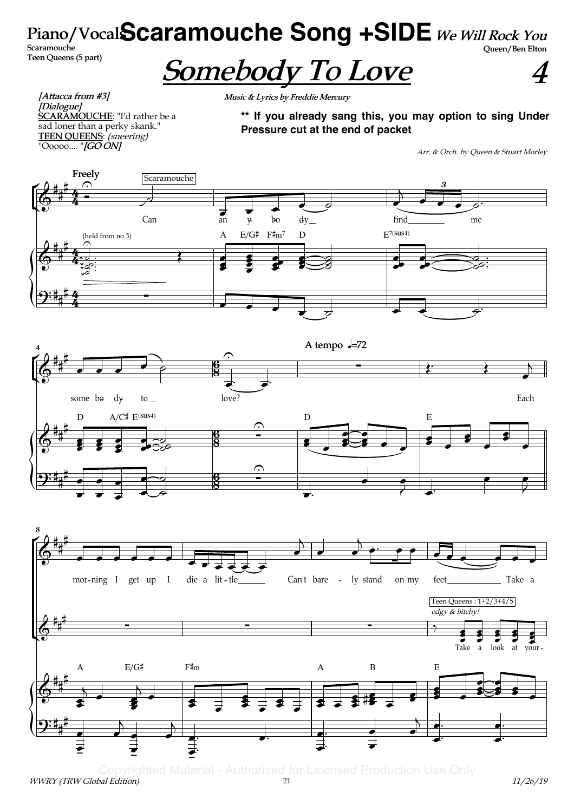# Piano/Vocal**Scaramouche Song +SIDE** We Will Rock You Queen/Ben Elton

Scaramouche Teen Queens (5 part)

# Somebody To Love

4

[Attacca from #3] .<br>[Dialogue] **SCARAMOUCHE:** "I'd rather be a sad loner than a perky skank." TEEN QUEENS: (sneering) "Ooooo.... "*[GO ON]* 

Music & Lyrics by Freddie Mercury

**\*\* If you already sang this, you may option to sing Under Pressure cut at the end of packet**

Arr. & Orch. by Queen & Stuart Morley

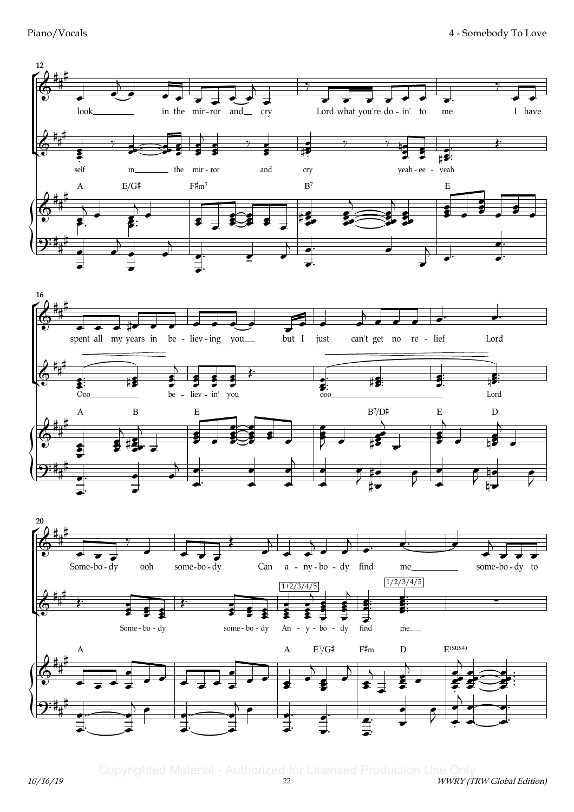Piano/Vocals





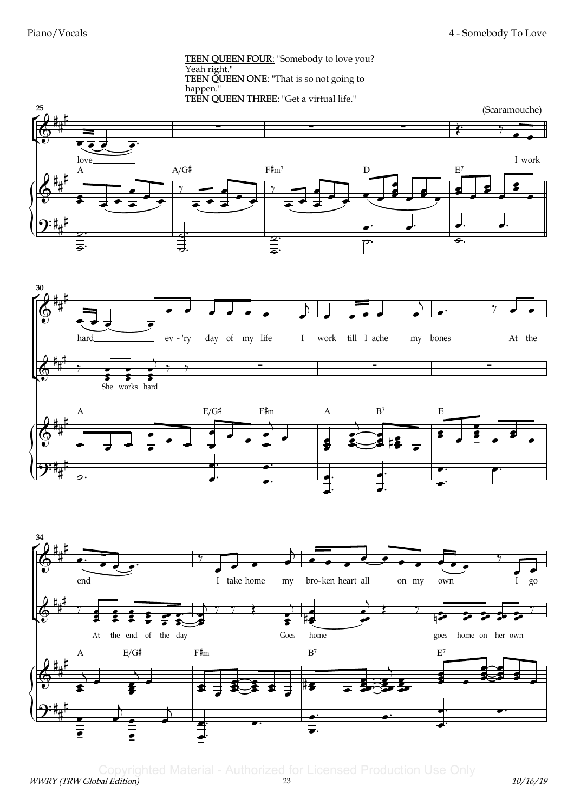TEEN QUEEN FOUR: "Somebody to love you? Yeah right." **TEEN QUEEN ONE:** "That is so not going to happen." TEEN QUEEN THREE: "Get a virtual life."





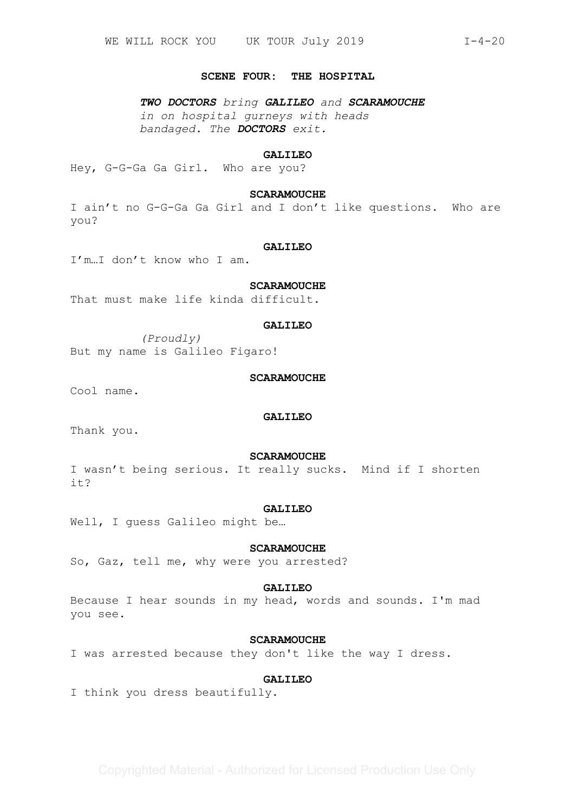#### **SCENE FOUR: THE HOSPITAL**

*TWO DOCTORS bring GALILEO and SCARAMOUCHE in on hospital gurneys with heads bandaged. The DOCTORS exit.*

## **GALILEO**

Hey, G-G-Ga Ga Girl. Who are you?

# **SCARAMOUCHE**

I ain't no G-G-Ga Ga Girl and I don't like questions. Who are you?

#### **GALILEO**

I'm…I don't know who I am.

# **SCARAMOUCHE**

That must make life kinda difficult.

## **GALILEO**

*(Proudly)*  But my name is Galileo Figaro!

## **SCARAMOUCHE**

Cool name.

#### **GALILEO**

Thank you.

## **SCARAMOUCHE**

I wasn't being serious. It really sucks. Mind if I shorten it?

#### **GALILEO**

Well, I guess Galileo might be…

# **SCARAMOUCHE**

So, Gaz, tell me, why were you arrested?

# **GALILEO**

Because I hear sounds in my head, words and sounds. I'm mad you see.

# **SCARAMOUCHE**

I was arrested because they don't like the way I dress.

# **GALILEO**

I think you dress beautifully.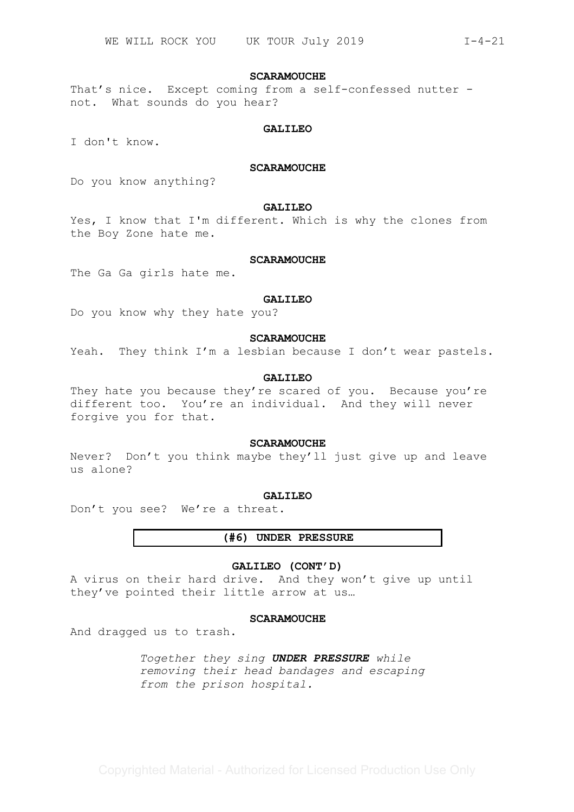## **SCARAMOUCHE**

That's nice. Except coming from a self-confessed nutter not. What sounds do you hear?

#### **GALILEO**

I don't know.

# **SCARAMOUCHE**

Do you know anything?

# **GALILEO**

Yes, I know that I'm different. Which is why the clones from the Boy Zone hate me.

# **SCARAMOUCHE**

The Ga Ga girls hate me.

#### **GALILEO**

Do you know why they hate you?

## **SCARAMOUCHE**

Yeah. They think I'm a lesbian because I don't wear pastels.

# **GALILEO**

They hate you because they're scared of you. Because you're different too. You're an individual. And they will never forgive you for that.

#### **SCARAMOUCHE**

Never? Don't you think maybe they'll just give up and leave us alone?

#### **GALILEO**

Don't you see? We're a threat.

# **(#6) UNDER PRESSURE**

# **GALILEO (CONT'D)**

A virus on their hard drive. And they won't give up until they've pointed their little arrow at us…

# **SCARAMOUCHE**

And dragged us to trash.

*Together they sing UNDER PRESSURE while removing their head bandages and escaping from the prison hospital.*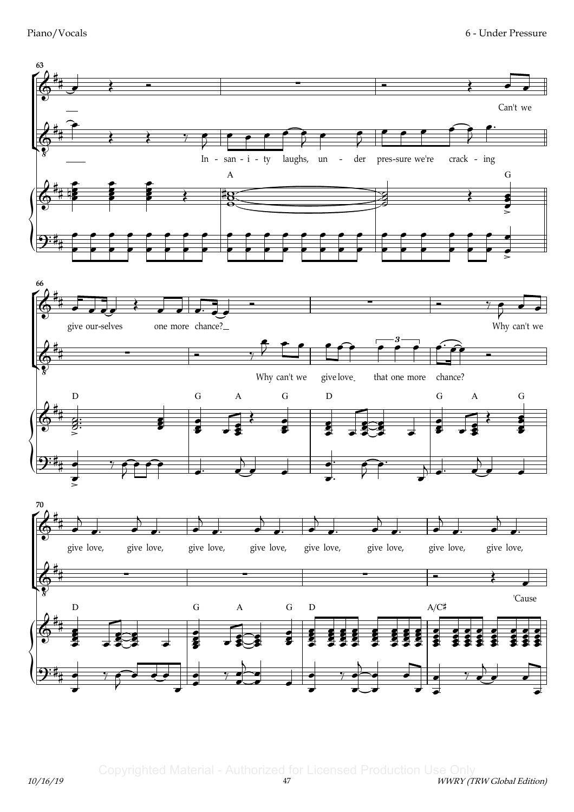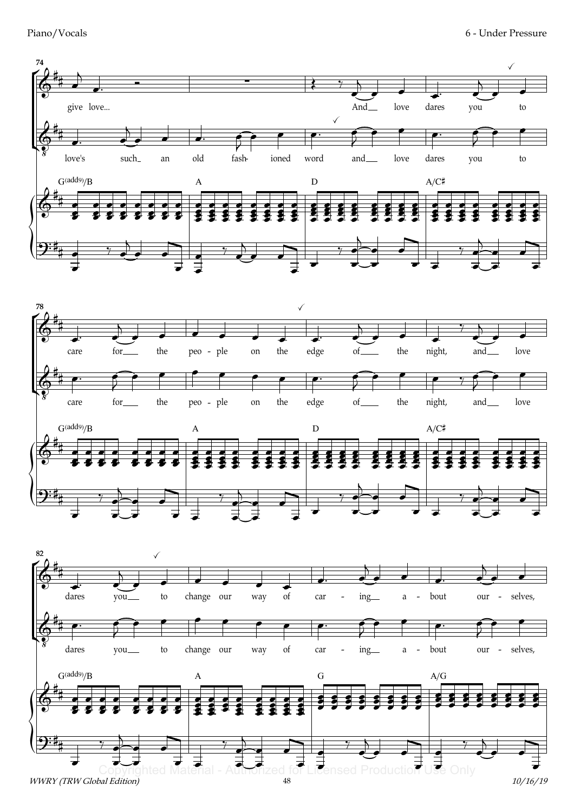









WWRY (TRW Global Edition)

10/16/19